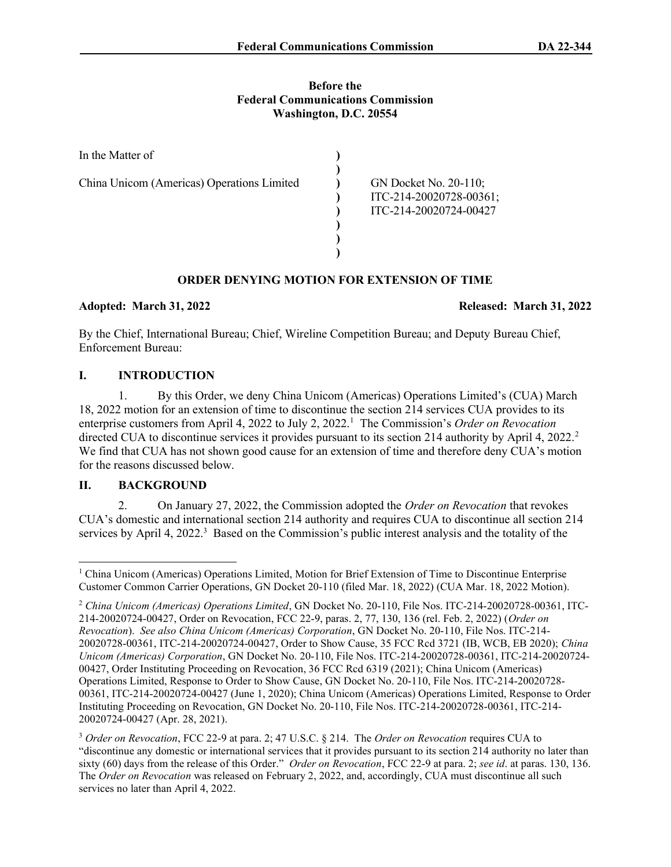### Before the Federal Communications Commission Washington, D.C. 20554

| In the Matter of                           |                                                                            |
|--------------------------------------------|----------------------------------------------------------------------------|
| China Unicom (Americas) Operations Limited | GN Docket No. 20-110;<br>ITC-214-20020728-00361;<br>ITC-214-20020724-00427 |

# ORDER DENYING MOTION FOR EXTENSION OF TIME

## Adopted: March 31, 2022 Released: March 31, 2022

By the Chief, International Bureau; Chief, Wireline Competition Bureau; and Deputy Bureau Chief, Enforcement Bureau:

## I. INTRODUCTION

1. By this Order, we deny China Unicom (Americas) Operations Limited's (CUA) March 18, 2022 motion for an extension of time to discontinue the section 214 services CUA provides to its enterprise customers from April 4, 2022 to July 2, 2022.<sup>1</sup> The Commission's Order on Revocation directed CUA to discontinue services it provides pursuant to its section 214 authority by April 4, 2022.<sup>2</sup> We find that CUA has not shown good cause for an extension of time and therefore deny CUA's motion for the reasons discussed below.

# II. BACKGROUND

On January 27, 2022, the Commission adopted the Order on Revocation that revokes CUA's domestic and international section 214 authority and requires CUA to discontinue all section 214 services by April 4, 2022.<sup>3</sup> Based on the Commission's public interest analysis and the totality of the

<sup>&</sup>lt;sup>1</sup> China Unicom (Americas) Operations Limited, Motion for Brief Extension of Time to Discontinue Enterprise Customer Common Carrier Operations, GN Docket 20-110 (filed Mar. 18, 2022) (CUA Mar. 18, 2022 Motion).

<sup>&</sup>lt;sup>2</sup> China Unicom (Americas) Operations Limited, GN Docket No. 20-110, File Nos. ITC-214-20020728-00361, ITC-214-20020724-00427, Order on Revocation, FCC 22-9, paras. 2, 77, 130, 136 (rel. Feb. 2, 2022) (Order on Revocation). See also China Unicom (Americas) Corporation, GN Docket No. 20-110, File Nos. ITC-214- 20020728-00361, ITC-214-20020724-00427, Order to Show Cause, 35 FCC Rcd 3721 (IB, WCB, EB 2020); China Unicom (Americas) Corporation, GN Docket No. 20-110, File Nos. ITC-214-20020728-00361, ITC-214-20020724- 00427, Order Instituting Proceeding on Revocation, 36 FCC Rcd 6319 (2021); China Unicom (Americas) Operations Limited, Response to Order to Show Cause, GN Docket No. 20-110, File Nos. ITC-214-20020728- 00361, ITC-214-20020724-00427 (June 1, 2020); China Unicom (Americas) Operations Limited, Response to Order Instituting Proceeding on Revocation, GN Docket No. 20-110, File Nos. ITC-214-20020728-00361, ITC-214- 20020724-00427 (Apr. 28, 2021).

<sup>&</sup>lt;sup>3</sup> Order on Revocation, FCC 22-9 at para. 2; 47 U.S.C. § 214. The Order on Revocation requires CUA to "discontinue any domestic or international services that it provides pursuant to its section 214 authority no later than sixty (60) days from the release of this Order." Order on Revocation, FCC 22-9 at para. 2; see id. at paras. 130, 136. The Order on Revocation was released on February 2, 2022, and, accordingly, CUA must discontinue all such services no later than April 4, 2022.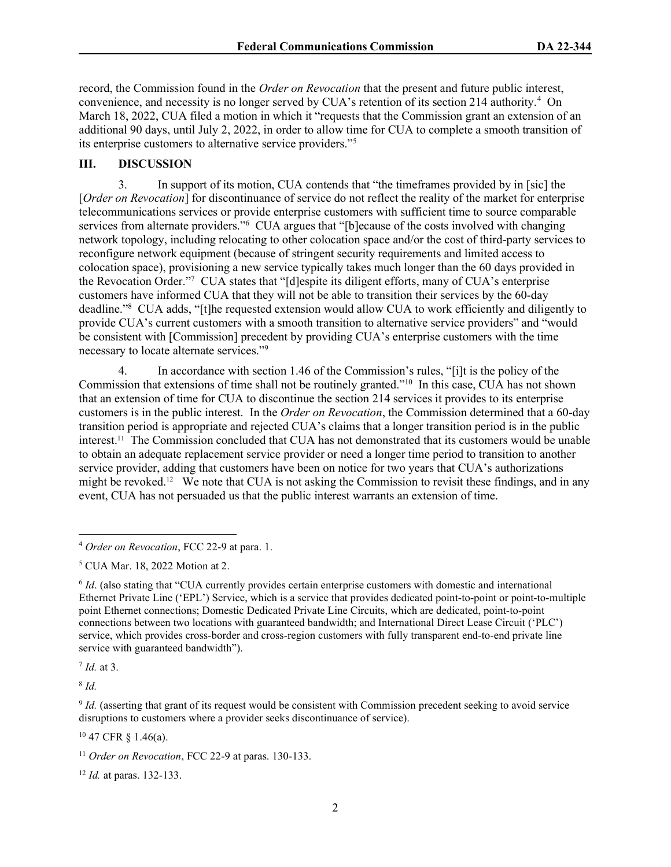record, the Commission found in the Order on Revocation that the present and future public interest, convenience, and necessity is no longer served by CUA's retention of its section 214 authority.<sup>4</sup> On March 18, 2022, CUA filed a motion in which it "requests that the Commission grant an extension of an additional 90 days, until July 2, 2022, in order to allow time for CUA to complete a smooth transition of its enterprise customers to alternative service providers."<sup>5</sup>

## III. DISCUSSION

3. In support of its motion, CUA contends that "the timeframes provided by in [sic] the [Order on Revocation] for discontinuance of service do not reflect the reality of the market for enterprise telecommunications services or provide enterprise customers with sufficient time to source comparable services from alternate providers."<sup>6</sup> CUA argues that "[b]ecause of the costs involved with changing network topology, including relocating to other colocation space and/or the cost of third-party services to reconfigure network equipment (because of stringent security requirements and limited access to colocation space), provisioning a new service typically takes much longer than the 60 days provided in the Revocation Order."<sup>7</sup> CUA states that "[d]espite its diligent efforts, many of CUA's enterprise customers have informed CUA that they will not be able to transition their services by the 60-day deadline."<sup>8</sup> CUA adds, "[t]he requested extension would allow CUA to work efficiently and diligently to provide CUA's current customers with a smooth transition to alternative service providers" and "would be consistent with [Commission] precedent by providing CUA's enterprise customers with the time necessary to locate alternate services."<sup>9</sup>

4. In accordance with section 1.46 of the Commission's rules, "[i]t is the policy of the Commission that extensions of time shall not be routinely granted."<sup>10</sup> In this case, CUA has not shown that an extension of time for CUA to discontinue the section 214 services it provides to its enterprise customers is in the public interest. In the *Order on Revocation*, the Commission determined that a 60-day transition period is appropriate and rejected CUA's claims that a longer transition period is in the public interest.11 The Commission concluded that CUA has not demonstrated that its customers would be unable to obtain an adequate replacement service provider or need a longer time period to transition to another service provider, adding that customers have been on notice for two years that CUA's authorizations might be revoked.<sup>12</sup> We note that CUA is not asking the Commission to revisit these findings, and in any event, CUA has not persuaded us that the public interest warrants an extension of time.

 $<sup>7</sup>$  *Id.* at 3.</sup>

 $8$  Id.

<sup>10</sup> 47 CFR § 1.46(a).

 $12$  *Id.* at paras. 132-133.

<sup>4</sup> Order on Revocation, FCC 22-9 at para. 1.

<sup>5</sup> CUA Mar. 18, 2022 Motion at 2.

<sup>&</sup>lt;sup>6</sup> Id. (also stating that "CUA currently provides certain enterprise customers with domestic and international Ethernet Private Line ('EPL') Service, which is a service that provides dedicated point-to-point or point-to-multiple point Ethernet connections; Domestic Dedicated Private Line Circuits, which are dedicated, point-to-point connections between two locations with guaranteed bandwidth; and International Direct Lease Circuit ('PLC') service, which provides cross-border and cross-region customers with fully transparent end-to-end private line service with guaranteed bandwidth").

<sup>&</sup>lt;sup>9</sup> *Id.* (asserting that grant of its request would be consistent with Commission precedent seeking to avoid service disruptions to customers where a provider seeks discontinuance of service).

<sup>&</sup>lt;sup>11</sup> Order on Revocation, FCC 22-9 at paras. 130-133.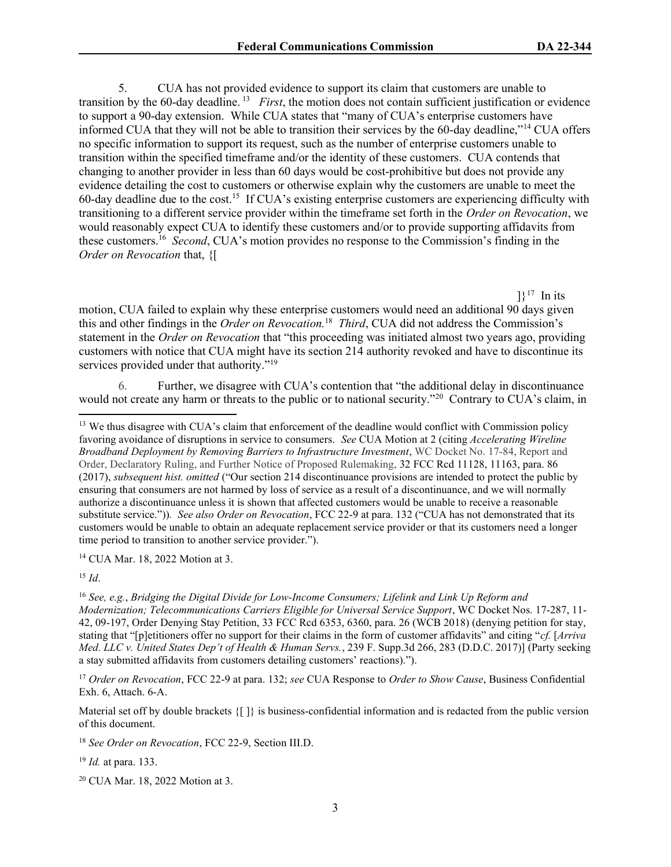5. CUA has not provided evidence to support its claim that customers are unable to transition by the 60-day deadline.<sup>13</sup> First, the motion does not contain sufficient justification or evidence to support a 90-day extension. While CUA states that "many of CUA's enterprise customers have informed CUA that they will not be able to transition their services by the 60-day deadline,"<sup>14</sup> CUA offers no specific information to support its request, such as the number of enterprise customers unable to transition within the specified timeframe and/or the identity of these customers. CUA contends that changing to another provider in less than 60 days would be cost-prohibitive but does not provide any evidence detailing the cost to customers or otherwise explain why the customers are unable to meet the 60-day deadline due to the cost.<sup>15</sup> If CUA's existing enterprise customers are experiencing difficulty with transitioning to a different service provider within the timeframe set forth in the Order on Revocation, we would reasonably expect CUA to identify these customers and/or to provide supporting affidavits from these customers.<sup>16</sup> Second, CUA's motion provides no response to the Commission's finding in the Order on Revocation that, {[

 $]$ <sup>17</sup> In its motion, CUA failed to explain why these enterprise customers would need an additional 90 days given this and other findings in the Order on Revocation.<sup>18</sup> Third, CUA did not address the Commission's statement in the Order on Revocation that "this proceeding was initiated almost two years ago, providing customers with notice that CUA might have its section 214 authority revoked and have to discontinue its services provided under that authority."<sup>19</sup>

6. Further, we disagree with CUA's contention that "the additional delay in discontinuance would not create any harm or threats to the public or to national security."<sup>20</sup> Contrary to CUA's claim, in

<sup>14</sup> CUA Mar. 18, 2022 Motion at 3.

 $15$  *Id.* 

 $16$  See, e.g., Bridging the Digital Divide for Low-Income Consumers; Lifelink and Link Up Reform and Modernization; Telecommunications Carriers Eligible for Universal Service Support, WC Docket Nos. 17-287, 11- 42, 09-197, Order Denying Stay Petition, 33 FCC Rcd 6353, 6360, para. 26 (WCB 2018) (denying petition for stay, stating that "[p]etitioners offer no support for their claims in the form of customer affidavits" and citing "cf. [Arriva Med. LLC v. United States Dep't of Health & Human Servs., 239 F. Supp.3d 266, 283 (D.D.C. 2017)] (Party seeking a stay submitted affidavits from customers detailing customers' reactions).").

<sup>17</sup> Order on Revocation, FCC 22-9 at para. 132; see CUA Response to Order to Show Cause, Business Confidential Exh. 6, Attach. 6-A.

Material set off by double brackets {[ ]} is business-confidential information and is redacted from the public version of this document.

<sup>18</sup> See Order on Revocation, FCC 22-9, Section III.D.

<sup>19</sup> *Id.* at para. 133.

20 CUA Mar. 18, 2022 Motion at 3.

<sup>&</sup>lt;sup>13</sup> We thus disagree with CUA's claim that enforcement of the deadline would conflict with Commission policy favoring avoidance of disruptions in service to consumers. See CUA Motion at 2 (citing Accelerating Wireline Broadband Deployment by Removing Barriers to Infrastructure Investment, WC Docket No. 17-84, Report and Order, Declaratory Ruling, and Further Notice of Proposed Rulemaking, 32 FCC Rcd 11128, 11163, para. 86 (2017), *subsequent hist. omitted* ("Our section 214 discontinuance provisions are intended to protect the public by ensuring that consumers are not harmed by loss of service as a result of a discontinuance, and we will normally authorize a discontinuance unless it is shown that affected customers would be unable to receive a reasonable substitute service.")). See also Order on Revocation, FCC 22-9 at para. 132 ("CUA has not demonstrated that its customers would be unable to obtain an adequate replacement service provider or that its customers need a longer time period to transition to another service provider.").